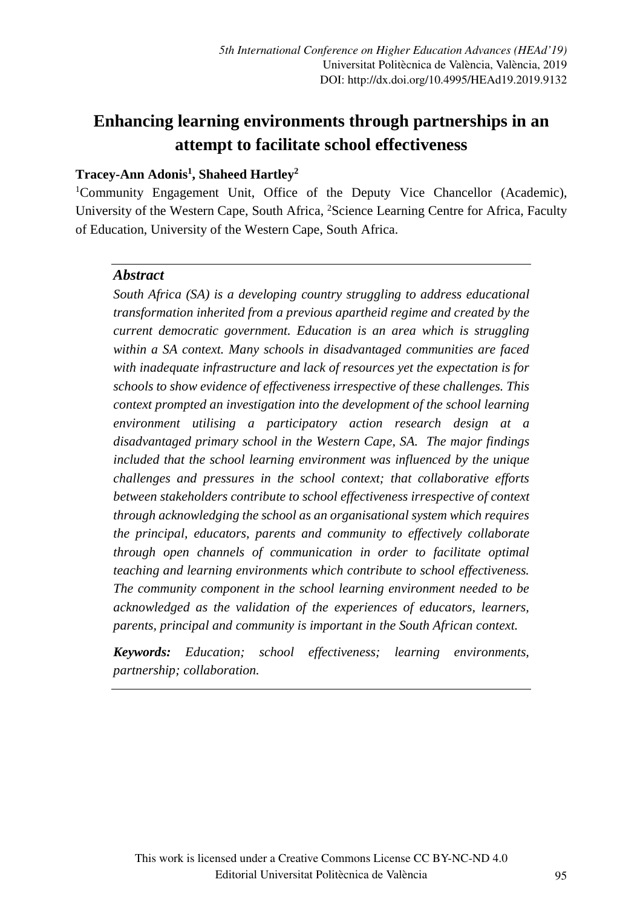# **Enhancing learning environments through partnerships in an attempt to facilitate school effectiveness**

### **Tracey-Ann Adonis1 , Shaheed Hartley2**

<sup>1</sup>Community Engagement Unit, Office of the Deputy Vice Chancellor (Academic), University of the Western Cape, South Africa, <sup>2</sup>Science Learning Centre for Africa, Faculty of Education, University of the Western Cape, South Africa.

#### *Abstract*

*South Africa (SA) is a developing country struggling to address educational transformation inherited from a previous apartheid regime and created by the current democratic government. Education is an area which is struggling within a SA context. Many schools in disadvantaged communities are faced with inadequate infrastructure and lack of resources yet the expectation is for schools to show evidence of effectiveness irrespective of these challenges. This context prompted an investigation into the development of the school learning environment utilising a participatory action research design at a disadvantaged primary school in the Western Cape, SA. The major findings included that the school learning environment was influenced by the unique challenges and pressures in the school context; that collaborative efforts between stakeholders contribute to school effectiveness irrespective of context through acknowledging the school as an organisational system which requires the principal, educators, parents and community to effectively collaborate through open channels of communication in order to facilitate optimal teaching and learning environments which contribute to school effectiveness. The community component in the school learning environment needed to be acknowledged as the validation of the experiences of educators, learners, parents, principal and community is important in the South African context.*

*Keywords: Education; school effectiveness; learning environments, partnership; collaboration.*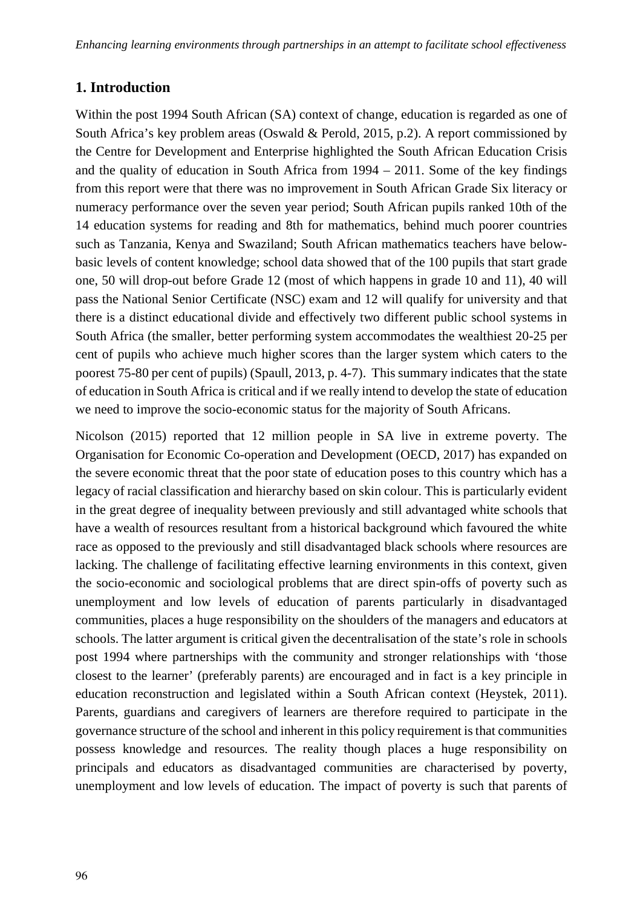### **1. Introduction**

Within the post 1994 South African (SA) context of change, education is regarded as one of South Africa's key problem areas (Oswald & Perold, 2015, p.2). A report commissioned by the Centre for Development and Enterprise highlighted the South African Education Crisis and the quality of education in South Africa from  $1994 - 2011$ . Some of the key findings from this report were that there was no improvement in South African Grade Six literacy or numeracy performance over the seven year period; South African pupils ranked 10th of the 14 education systems for reading and 8th for mathematics, behind much poorer countries such as Tanzania, Kenya and Swaziland; South African mathematics teachers have belowbasic levels of content knowledge; school data showed that of the 100 pupils that start grade one, 50 will drop-out before Grade 12 (most of which happens in grade 10 and 11), 40 will pass the National Senior Certificate (NSC) exam and 12 will qualify for university and that there is a distinct educational divide and effectively two different public school systems in South Africa (the smaller, better performing system accommodates the wealthiest 20-25 per cent of pupils who achieve much higher scores than the larger system which caters to the poorest 75-80 per cent of pupils) (Spaull, 2013, p. 4-7). This summary indicates that the state of education in South Africa is critical and if we really intend to develop the state of education we need to improve the socio-economic status for the majority of South Africans.

Nicolson (2015) reported that 12 million people in SA live in extreme poverty. The Organisation for Economic Co-operation and Development (OECD, 2017) has expanded on the severe economic threat that the poor state of education poses to this country which has a legacy of racial classification and hierarchy based on skin colour. This is particularly evident in the great degree of inequality between previously and still advantaged white schools that have a wealth of resources resultant from a historical background which favoured the white race as opposed to the previously and still disadvantaged black schools where resources are lacking. The challenge of facilitating effective learning environments in this context, given the socio-economic and sociological problems that are direct spin-offs of poverty such as unemployment and low levels of education of parents particularly in disadvantaged communities, places a huge responsibility on the shoulders of the managers and educators at schools. The latter argument is critical given the decentralisation of the state's role in schools post 1994 where partnerships with the community and stronger relationships with 'those closest to the learner' (preferably parents) are encouraged and in fact is a key principle in education reconstruction and legislated within a South African context (Heystek, 2011). Parents, guardians and caregivers of learners are therefore required to participate in the governance structure of the school and inherent in this policy requirement is that communities possess knowledge and resources. The reality though places a huge responsibility on principals and educators as disadvantaged communities are characterised by poverty, unemployment and low levels of education. The impact of poverty is such that parents of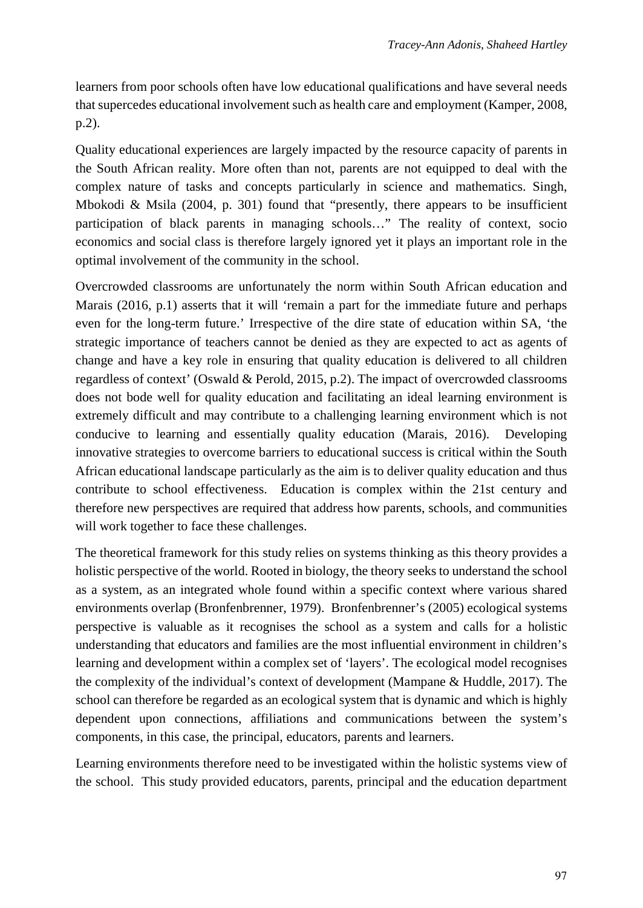learners from poor schools often have low educational qualifications and have several needs that supercedes educational involvement such as health care and employment (Kamper, 2008, p.2).

Quality educational experiences are largely impacted by the resource capacity of parents in the South African reality. More often than not, parents are not equipped to deal with the complex nature of tasks and concepts particularly in science and mathematics. Singh, Mbokodi & Msila  $(2004, p. 301)$  found that "presently, there appears to be insufficient participation of black parents in managing schools…" The reality of context, socio economics and social class is therefore largely ignored yet it plays an important role in the optimal involvement of the community in the school.

Overcrowded classrooms are unfortunately the norm within South African education and Marais (2016, p.1) asserts that it will 'remain a part for the immediate future and perhaps even for the long-term future.' Irrespective of the dire state of education within SA, 'the strategic importance of teachers cannot be denied as they are expected to act as agents of change and have a key role in ensuring that quality education is delivered to all children regardless of context' (Oswald & Perold, 2015, p.2). The impact of overcrowded classrooms does not bode well for quality education and facilitating an ideal learning environment is extremely difficult and may contribute to a challenging learning environment which is not conducive to learning and essentially quality education (Marais, 2016). Developing innovative strategies to overcome barriers to educational success is critical within the South African educational landscape particularly as the aim is to deliver quality education and thus contribute to school effectiveness. Education is complex within the 21st century and therefore new perspectives are required that address how parents, schools, and communities will work together to face these challenges.

The theoretical framework for this study relies on systems thinking as this theory provides a holistic perspective of the world. Rooted in biology, the theory seeks to understand the school as a system, as an integrated whole found within a specific context where various shared environments overlap (Bronfenbrenner, 1979). Bronfenbrenner's (2005) ecological systems perspective is valuable as it recognises the school as a system and calls for a holistic understanding that educators and families are the most influential environment in children's learning and development within a complex set of 'layers'. The ecological model recognises the complexity of the individual's context of development (Mampane & Huddle, 2017). The school can therefore be regarded as an ecological system that is dynamic and which is highly dependent upon connections, affiliations and communications between the system's components, in this case, the principal, educators, parents and learners.

Learning environments therefore need to be investigated within the holistic systems view of the school. This study provided educators, parents, principal and the education department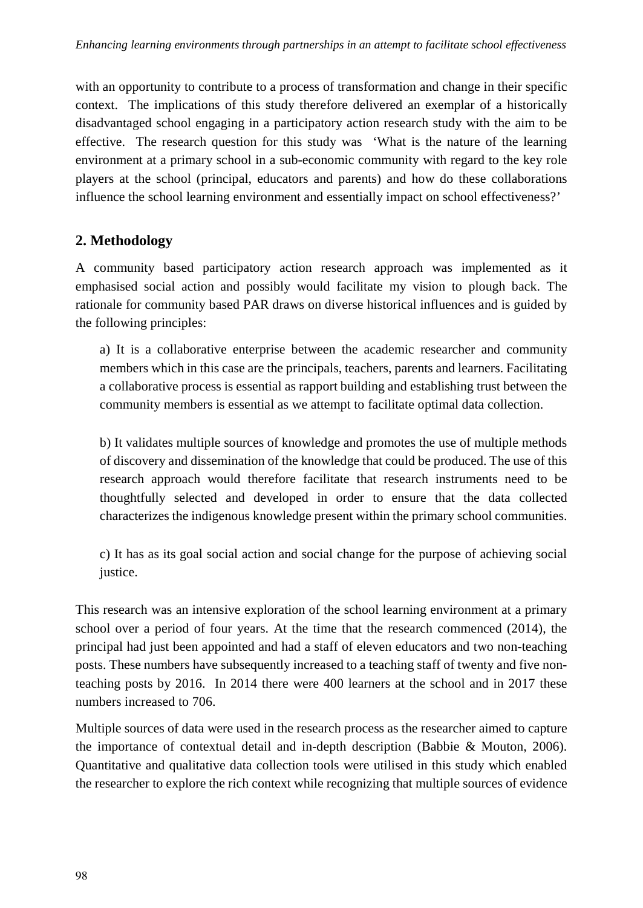with an opportunity to contribute to a process of transformation and change in their specific context. The implications of this study therefore delivered an exemplar of a historically disadvantaged school engaging in a participatory action research study with the aim to be effective. The research question for this study was 'What is the nature of the learning environment at a primary school in a sub-economic community with regard to the key role players at the school (principal, educators and parents) and how do these collaborations influence the school learning environment and essentially impact on school effectiveness?'

### **2. Methodology**

A community based participatory action research approach was implemented as it emphasised social action and possibly would facilitate my vision to plough back. The rationale for community based PAR draws on diverse historical influences and is guided by the following principles:

a) It is a collaborative enterprise between the academic researcher and community members which in this case are the principals, teachers, parents and learners. Facilitating a collaborative process is essential as rapport building and establishing trust between the community members is essential as we attempt to facilitate optimal data collection.

b) It validates multiple sources of knowledge and promotes the use of multiple methods of discovery and dissemination of the knowledge that could be produced. The use of this research approach would therefore facilitate that research instruments need to be thoughtfully selected and developed in order to ensure that the data collected characterizes the indigenous knowledge present within the primary school communities.

c) It has as its goal social action and social change for the purpose of achieving social justice.

This research was an intensive exploration of the school learning environment at a primary school over a period of four years. At the time that the research commenced (2014), the principal had just been appointed and had a staff of eleven educators and two non-teaching posts. These numbers have subsequently increased to a teaching staff of twenty and five nonteaching posts by 2016. In 2014 there were 400 learners at the school and in 2017 these numbers increased to 706.

Multiple sources of data were used in the research process as the researcher aimed to capture the importance of contextual detail and in-depth description (Babbie & Mouton, 2006). Quantitative and qualitative data collection tools were utilised in this study which enabled the researcher to explore the rich context while recognizing that multiple sources of evidence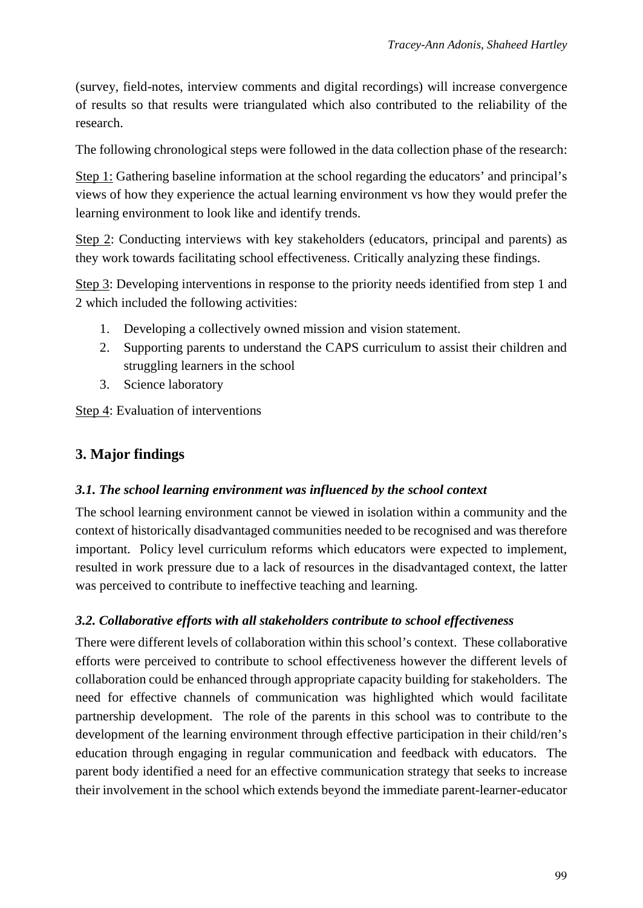(survey, field-notes, interview comments and digital recordings) will increase convergence of results so that results were triangulated which also contributed to the reliability of the research.

The following chronological steps were followed in the data collection phase of the research:

Step 1: Gathering baseline information at the school regarding the educators' and principal's views of how they experience the actual learning environment vs how they would prefer the learning environment to look like and identify trends.

Step 2: Conducting interviews with key stakeholders (educators, principal and parents) as they work towards facilitating school effectiveness. Critically analyzing these findings.

Step 3: Developing interventions in response to the priority needs identified from step 1 and 2 which included the following activities:

- 1. Developing a collectively owned mission and vision statement.
- 2. Supporting parents to understand the CAPS curriculum to assist their children and struggling learners in the school
- 3. Science laboratory

Step 4: Evaluation of interventions

## **3. Major findings**

#### *3.1. The school learning environment was influenced by the school context*

The school learning environment cannot be viewed in isolation within a community and the context of historically disadvantaged communities needed to be recognised and was therefore important. Policy level curriculum reforms which educators were expected to implement, resulted in work pressure due to a lack of resources in the disadvantaged context, the latter was perceived to contribute to ineffective teaching and learning.

### *3.2. Collaborative efforts with all stakeholders contribute to school effectiveness*

There were different levels of collaboration within this school's context. These collaborative efforts were perceived to contribute to school effectiveness however the different levels of collaboration could be enhanced through appropriate capacity building for stakeholders. The need for effective channels of communication was highlighted which would facilitate partnership development. The role of the parents in this school was to contribute to the development of the learning environment through effective participation in their child/ren's education through engaging in regular communication and feedback with educators. The parent body identified a need for an effective communication strategy that seeks to increase their involvement in the school which extends beyond the immediate parent-learner-educator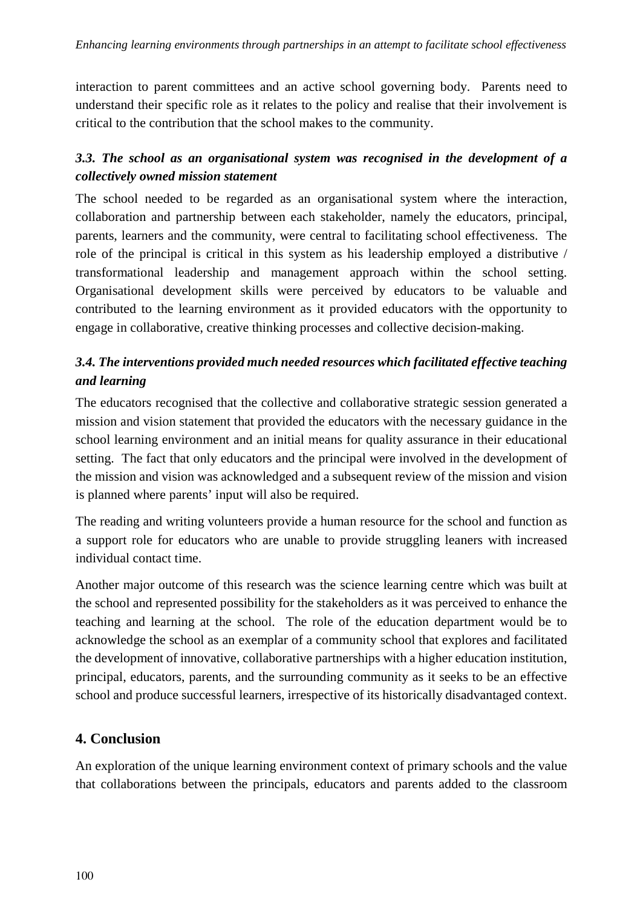interaction to parent committees and an active school governing body. Parents need to understand their specific role as it relates to the policy and realise that their involvement is critical to the contribution that the school makes to the community.

# *3.3. The school as an organisational system was recognised in the development of a collectively owned mission statement*

The school needed to be regarded as an organisational system where the interaction, collaboration and partnership between each stakeholder, namely the educators, principal, parents, learners and the community, were central to facilitating school effectiveness. The role of the principal is critical in this system as his leadership employed a distributive / transformational leadership and management approach within the school setting. Organisational development skills were perceived by educators to be valuable and contributed to the learning environment as it provided educators with the opportunity to engage in collaborative, creative thinking processes and collective decision-making.

# *3.4. The interventions provided much needed resources which facilitated effective teaching and learning*

The educators recognised that the collective and collaborative strategic session generated a mission and vision statement that provided the educators with the necessary guidance in the school learning environment and an initial means for quality assurance in their educational setting. The fact that only educators and the principal were involved in the development of the mission and vision was acknowledged and a subsequent review of the mission and vision is planned where parents' input will also be required.

The reading and writing volunteers provide a human resource for the school and function as a support role for educators who are unable to provide struggling leaners with increased individual contact time.

Another major outcome of this research was the science learning centre which was built at the school and represented possibility for the stakeholders as it was perceived to enhance the teaching and learning at the school. The role of the education department would be to acknowledge the school as an exemplar of a community school that explores and facilitated the development of innovative, collaborative partnerships with a higher education institution, principal, educators, parents, and the surrounding community as it seeks to be an effective school and produce successful learners, irrespective of its historically disadvantaged context.

# **4. Conclusion**

An exploration of the unique learning environment context of primary schools and the value that collaborations between the principals, educators and parents added to the classroom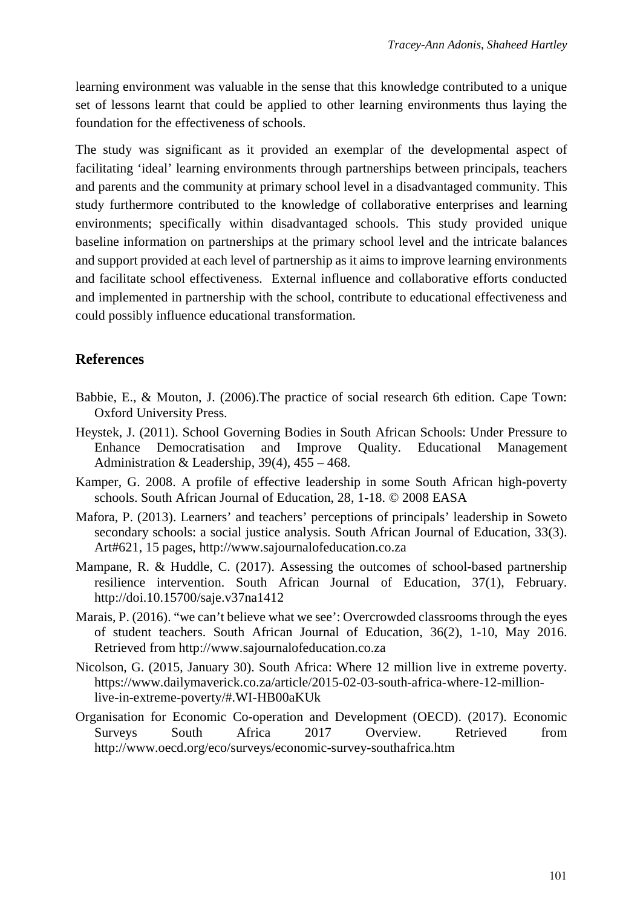learning environment was valuable in the sense that this knowledge contributed to a unique set of lessons learnt that could be applied to other learning environments thus laying the foundation for the effectiveness of schools.

The study was significant as it provided an exemplar of the developmental aspect of facilitating 'ideal' learning environments through partnerships between principals, teachers and parents and the community at primary school level in a disadvantaged community. This study furthermore contributed to the knowledge of collaborative enterprises and learning environments; specifically within disadvantaged schools. This study provided unique baseline information on partnerships at the primary school level and the intricate balances and support provided at each level of partnership as it aims to improve learning environments and facilitate school effectiveness. External influence and collaborative efforts conducted and implemented in partnership with the school, contribute to educational effectiveness and could possibly influence educational transformation.

### **References**

- Babbie, E., & Mouton, J. (2006).The practice of social research 6th edition. Cape Town: Oxford University Press.
- Heystek, J. (2011). School Governing Bodies in South African Schools: Under Pressure to Enhance Democratisation and Improve Quality. Educational Management Administration & Leadership, 39(4), 455 – 468.
- Kamper, G. 2008. A profile of effective leadership in some South African high-poverty schools. South African Journal of Education, 28, 1-18. © 2008 EASA
- Mafora, P. (2013). Learners' and teachers' perceptions of principals' leadership in Soweto secondary schools: a social justice analysis. South African Journal of Education, 33(3). Art#621, 15 pages, http://www.sajournalofeducation.co.za
- Mampane, R. & Huddle, C. (2017). Assessing the outcomes of school-based partnership resilience intervention. South African Journal of Education, 37(1), February. http://doi.10.15700/saje.v37na1412
- Marais, P. (2016). "we can't believe what we see': Overcrowded classrooms through the eyes of student teachers. South African Journal of Education, 36(2), 1-10, May 2016. Retrieved from http://www.sajournalofeducation.co.za
- Nicolson, G. (2015, January 30). South Africa: Where 12 million live in extreme poverty. https://www.dailymaverick.co.za/article/2015-02-03-south-africa-where-12-millionlive-in-extreme-poverty/#.WI-HB00aKUk
- Organisation for Economic Co-operation and Development (OECD). (2017). Economic Surveys South Africa 2017 Overview. Retrieved from http://www.oecd.org/eco/surveys/economic-survey-southafrica.htm